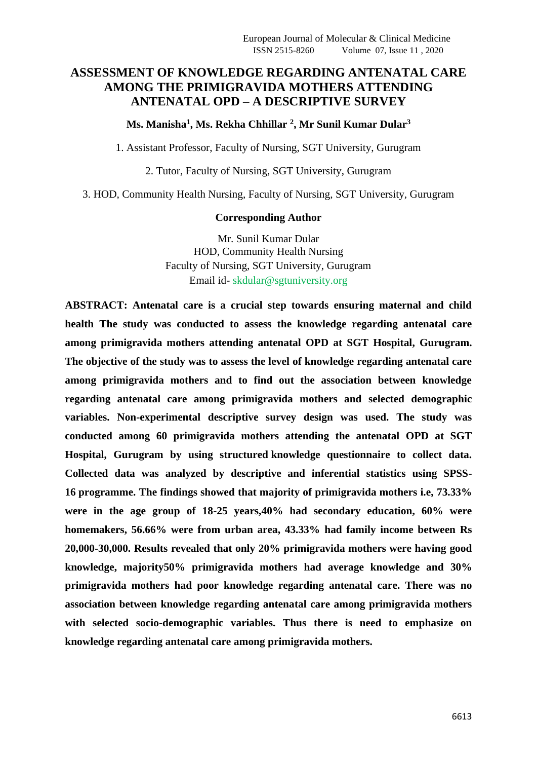### **ASSESSMENT OF KNOWLEDGE REGARDING ANTENATAL CARE AMONG THE PRIMIGRAVIDA MOTHERS ATTENDING ANTENATAL OPD – A DESCRIPTIVE SURVEY**

#### **Ms. Manisha<sup>1</sup> , Ms. Rekha Chhillar <sup>2</sup> , Mr Sunil Kumar Dular<sup>3</sup>**

1. Assistant Professor, Faculty of Nursing, SGT University, Gurugram

2. Tutor, Faculty of Nursing, SGT University, Gurugram

3. HOD, Community Health Nursing, Faculty of Nursing, SGT University, Gurugram

#### **Corresponding Author**

Mr. Sunil Kumar Dular HOD, Community Health Nursing Faculty of Nursing, SGT University, Gurugram Email id- [skdular@sgtuniversity.org](mailto:skdular@sgtuniversity.org)

**ABSTRACT: Antenatal care is a crucial step towards ensuring maternal and child health The study was conducted to assess the knowledge regarding antenatal care among primigravida mothers attending antenatal OPD at SGT Hospital, Gurugram. The objective of the study was to assess the level of knowledge regarding antenatal care among primigravida mothers and to find out the association between knowledge regarding antenatal care among primigravida mothers and selected demographic variables. Non-experimental descriptive survey design was used. The study was conducted among 60 primigravida mothers attending the antenatal OPD at SGT Hospital, Gurugram by using structured knowledge questionnaire to collect data. Collected data was analyzed by descriptive and inferential statistics using SPSS-16 programme. The findings showed that majority of primigravida mothers i.e, 73.33% were in the age group of 18-25 years,40% had secondary education, 60% were homemakers, 56.66% were from urban area, 43.33% had family income between Rs 20,000-30,000. Results revealed that only 20% primigravida mothers were having good knowledge, majority50% primigravida mothers had average knowledge and 30% primigravida mothers had poor knowledge regarding antenatal care. There was no association between knowledge regarding antenatal care among primigravida mothers with selected socio-demographic variables. Thus there is need to emphasize on knowledge regarding antenatal care among primigravida mothers.**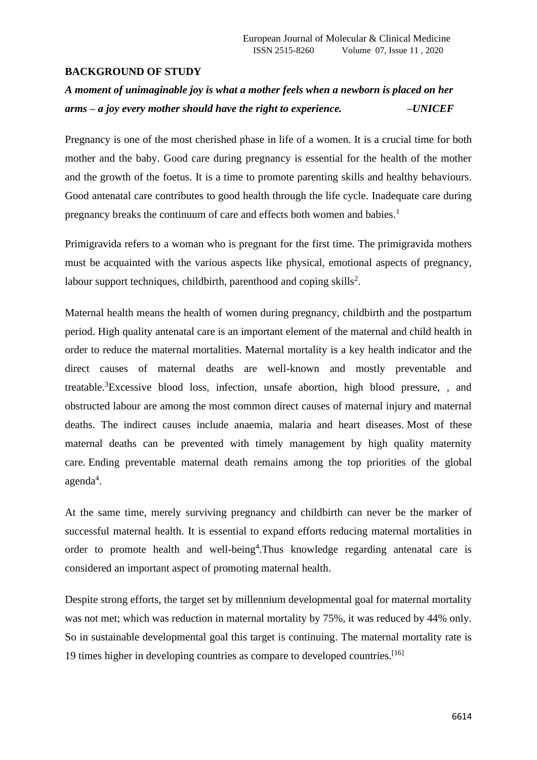#### **BACKGROUND OF STUDY**

# *A moment of unimaginable joy is what a mother feels when a newborn is placed on her arms – a joy every mother should have the right to experience. –UNICEF*

Pregnancy is one of the most cherished phase in life of a women. It is a crucial time for both mother and the baby. Good care during pregnancy is essential for the health of the mother and the growth of the foetus. It is a time to promote parenting skills and healthy behaviours. Good antenatal care contributes to good health through the life cycle. Inadequate care during pregnancy breaks the continuum of care and effects both women and babies.<sup>1</sup>

Primigravida refers to a woman who is pregnant for the first time. The primigravida mothers must be acquainted with the various aspects like physical, emotional aspects of pregnancy, labour support techniques, childbirth, parenthood and coping skills<sup>2</sup>.

Maternal health means the health of women during pregnancy, childbirth and the postpartum period. High quality antenatal care is an important element of the maternal and child health in order to reduce the maternal mortalities. Maternal mortality is a key health indicator and the direct causes of maternal deaths are well-known and mostly preventable and treatable.<sup>3</sup>Excessive blood loss, infection, unsafe abortion, high blood pressure, , and obstructed labour are among the most common direct causes of maternal injury and maternal deaths. The indirect causes include anaemia, malaria and heart diseases. Most of these maternal deaths can be prevented with timely management by high quality maternity care. Ending preventable maternal death remains among the top priorities of the global agenda<sup>4</sup>.

At the same time, merely surviving pregnancy and childbirth can never be the marker of successful maternal health. It is essential to expand efforts reducing maternal mortalities in order to promote health and well-being<sup>4</sup>. Thus knowledge regarding antenatal care is considered an important aspect of promoting maternal health.

Despite strong efforts, the target set by millennium developmental goal for maternal mortality was not met; which was reduction in maternal mortality by 75%, it was reduced by 44% only. So in sustainable developmental goal this target is continuing. The maternal mortality rate is 19 times higher in developing countries as compare to developed countries.[16]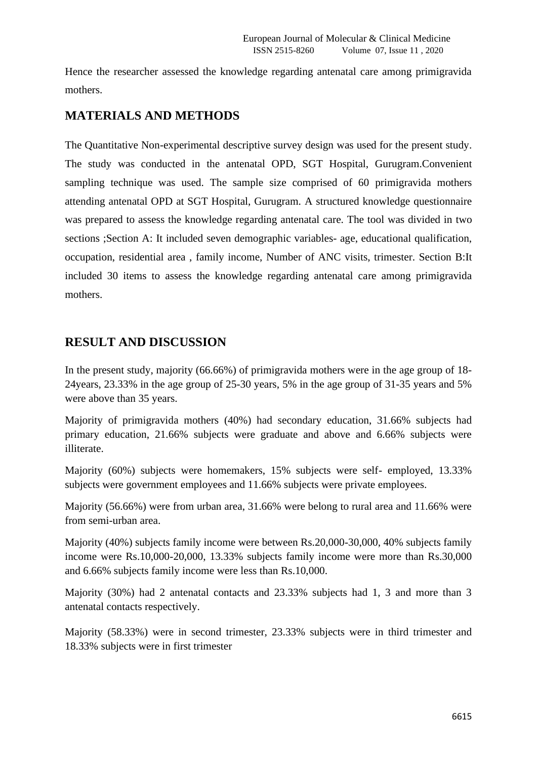Hence the researcher assessed the knowledge regarding antenatal care among primigravida mothers.

### **MATERIALS AND METHODS**

The Quantitative Non-experimental descriptive survey design was used for the present study. The study was conducted in the antenatal OPD, SGT Hospital, Gurugram.Convenient sampling technique was used. The sample size comprised of 60 primigravida mothers attending antenatal OPD at SGT Hospital, Gurugram. A structured knowledge questionnaire was prepared to assess the knowledge regarding antenatal care. The tool was divided in two sections ;Section A: It included seven demographic variables- age, educational qualification, occupation, residential area , family income, Number of ANC visits, trimester. Section B:It included 30 items to assess the knowledge regarding antenatal care among primigravida mothers.

### **RESULT AND DISCUSSION**

In the present study, majority (66.66%) of primigravida mothers were in the age group of 18- 24years, 23.33% in the age group of 25-30 years, 5% in the age group of 31-35 years and 5% were above than 35 years.

Majority of primigravida mothers (40%) had secondary education, 31.66% subjects had primary education, 21.66% subjects were graduate and above and 6.66% subjects were illiterate.

Majority (60%) subjects were homemakers, 15% subjects were self- employed, 13.33% subjects were government employees and 11.66% subjects were private employees.

Majority (56.66%) were from urban area, 31.66% were belong to rural area and 11.66% were from semi-urban area.

Majority (40%) subjects family income were between Rs.20,000-30,000, 40% subjects family income were Rs.10,000-20,000, 13.33% subjects family income were more than Rs.30,000 and 6.66% subjects family income were less than Rs.10,000.

Majority (30%) had 2 antenatal contacts and 23.33% subjects had 1, 3 and more than 3 antenatal contacts respectively.

Majority (58.33%) were in second trimester, 23.33% subjects were in third trimester and 18.33% subjects were in first trimester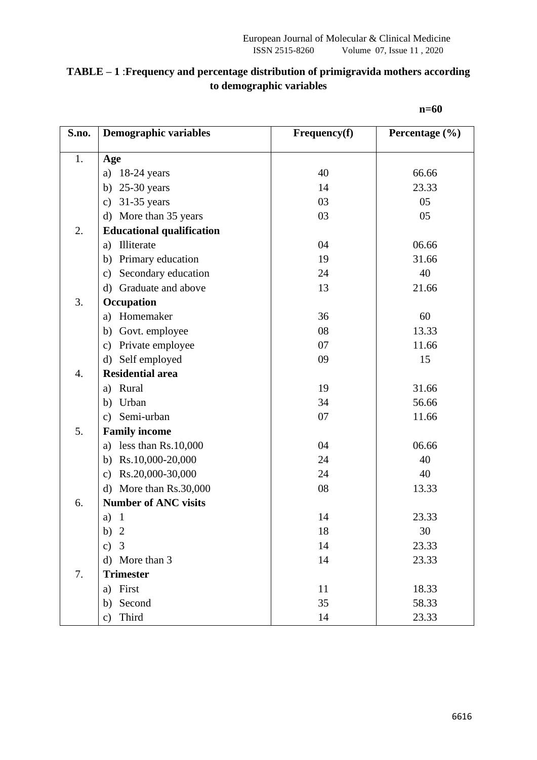#### **TABLE – 1** :**Frequency and percentage distribution of primigravida mothers according to demographic variables**

| S.no.            | <b>Demographic variables</b>         | Frequency(f) | Percentage $(\% )$ |
|------------------|--------------------------------------|--------------|--------------------|
| 1.               | Age                                  |              |                    |
|                  | $18-24$ years<br>a)                  | 40           | 66.66              |
|                  | $25-30$ years<br>b)                  | 14           | 23.33              |
|                  | $31-35$ years<br>$\mathbf{c})$       | 03           | 05                 |
|                  | More than 35 years<br>$\rm d$        | 03           | 05                 |
| 2.               | <b>Educational qualification</b>     |              |                    |
|                  | Illiterate<br>a)                     | 04           | 06.66              |
|                  | Primary education<br>b)              | 19           | 31.66              |
|                  | Secondary education<br>$\mathbf{c})$ | 24           | 40                 |
|                  | Graduate and above<br>$\mathbf{d}$   | 13           | 21.66              |
| 3.               | Occupation                           |              |                    |
|                  | Homemaker<br>a)                      | 36           | 60                 |
|                  | b)<br>Govt. employee                 | 08           | 13.33              |
|                  | Private employee<br>$\mathbf{c})$    | 07           | 11.66              |
|                  | Self employed<br>$\rm d$             | 09           | 15                 |
| $\overline{4}$ . | <b>Residential area</b>              |              |                    |
|                  | Rural<br>a)                          | 19           | 31.66              |
|                  | b) Urban                             | 34           | 56.66              |
|                  | c) Semi-urban                        | 07           | 11.66              |
| 5.               | <b>Family income</b>                 |              |                    |
|                  | less than Rs.10,000<br>a)            | 04           | 06.66              |
|                  | Rs.10,000-20,000<br>b)               | 24           | 40                 |
|                  | Rs.20,000-30,000<br>$\mathbf{c})$    | 24           | 40                 |
|                  | More than Rs.30,000<br>$\rm d$       | 08           | 13.33              |
| 6.               | <b>Number of ANC visits</b>          |              |                    |
|                  | $\mathbf{1}$<br>a)                   | 14           | 23.33              |
|                  | b)<br>$\overline{2}$                 | 18           | 30                 |
|                  | $\overline{3}$<br>c)                 | 14           | 23.33              |
|                  | More than 3<br>$\rm d$               | 14           | 23.33              |
| 7.               | <b>Trimester</b>                     |              |                    |
|                  | First<br>a)                          | 11           | 18.33              |
|                  | Second<br>b)                         | 35           | 58.33              |
|                  | Third<br>$\mathbf{c})$               | 14           | 23.33              |

**n=60**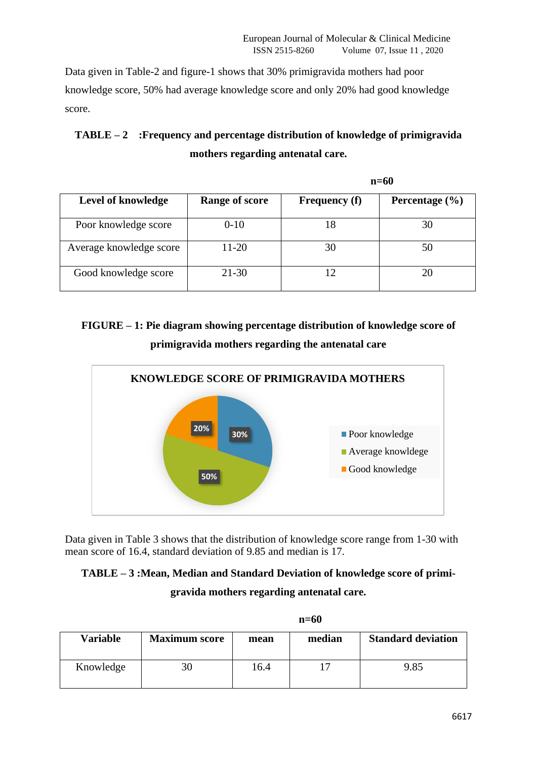Data given in Table-2 and figure-1 shows that 30% primigravida mothers had poor knowledge score, 50% had average knowledge score and only 20% had good knowledge score.

## **TABLE – 2 :Frequency and percentage distribution of knowledge of primigravida mothers regarding antenatal care.**

|                         |                       | $n=60$               |                    |  |
|-------------------------|-----------------------|----------------------|--------------------|--|
| Level of knowledge      | <b>Range of score</b> | <b>Frequency</b> (f) | Percentage $(\% )$ |  |
| Poor knowledge score    | $0 - 10$              | 18                   | 30                 |  |
| Average knowledge score | $11-20$               | 30                   | 50                 |  |
| Good knowledge score    | $21 - 30$             |                      | 20                 |  |

# **FIGURE – 1: Pie diagram showing percentage distribution of knowledge score of primigravida mothers regarding the antenatal care**



Data given in Table 3 shows that the distribution of knowledge score range from 1-30 with mean score of 16.4, standard deviation of 9.85 and median is 17.

## **TABLE – 3 :Mean, Median and Standard Deviation of knowledge score of primigravida mothers regarding antenatal care.**

|                 | $n=60$               |      |        |                           |  |
|-----------------|----------------------|------|--------|---------------------------|--|
| <b>Variable</b> | <b>Maximum score</b> | mean | median | <b>Standard deviation</b> |  |
| Knowledge       | 30                   | 16.4 |        | 9.85                      |  |